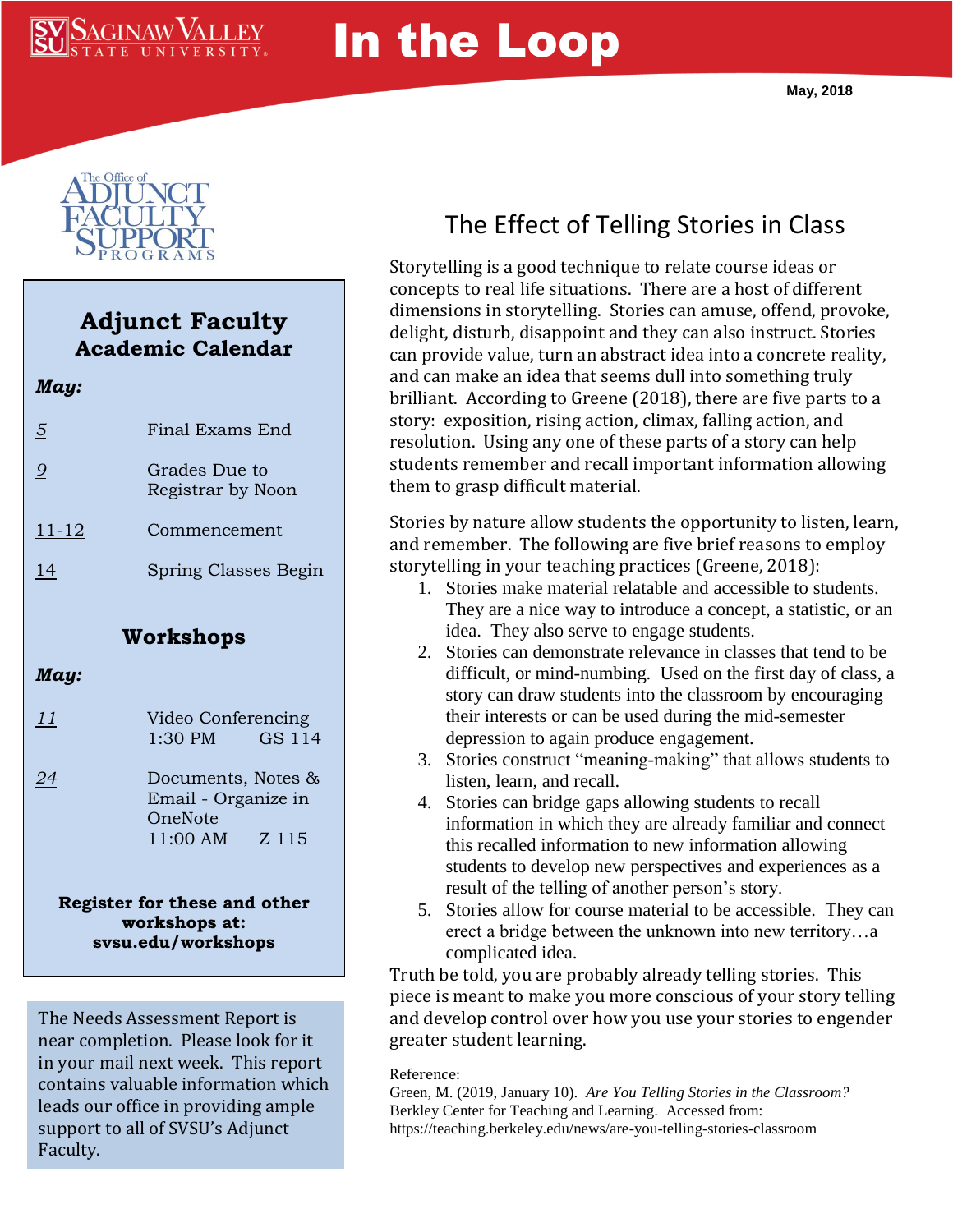# $\mathop{\rm SAGINAW}$

# In the Loop



### **Adjunct Faculty Academic Calendar**

| May:           |                                    |
|----------------|------------------------------------|
| $\overline{5}$ | Final Exams End                    |
| 9              | Grades Due to<br>Registrar by Noon |
| $11 - 12$      | Commencement                       |
| 14             | Spring Classes Begin               |
|                | Workshops                          |

#### *May:*

| <u> 11</u> |           | Video Conferencing |  |
|------------|-----------|--------------------|--|
|            | $1:30$ PM | GS 114             |  |

*24* Documents, Notes & Email - Organize in OneNote 11:00 AM Z 115

#### **Register for these and other workshops at: svsu.edu/workshops**

The Needs Assessment Report is near completion. Please look for it in your mail next week. This report contains valuable information which leads our office in providing ample support to all of SVSU's Adjunct Faculty.

# The Effect of Telling Stories in Class

Storytelling is a good technique to relate course ideas or concepts to real life situations. There are a host of different dimensions in storytelling. Stories can amuse, offend, provoke, delight, disturb, disappoint and they can also instruct. Stories can provide value, turn an abstract idea into a concrete reality, and can make an idea that seems dull into something truly brilliant. According to Greene (2018), there are five parts to a story: exposition, rising action, climax, falling action, and resolution. Using any one of these parts of a story can help students remember and recall important information allowing them to grasp difficult material.

Stories by nature allow students the opportunity to listen, learn, and remember. The following are five brief reasons to employ storytelling in your teaching practices (Greene, 2018):

- 1. Stories make material relatable and accessible to students. They are a nice way to introduce a concept, a statistic, or an idea. They also serve to engage students.
- 2. Stories can demonstrate relevance in classes that tend to be difficult, or mind-numbing. Used on the first day of class, a story can draw students into the classroom by encouraging their interests or can be used during the mid-semester depression to again produce engagement.
- 3. Stories construct "meaning-making" that allows students to listen, learn, and recall.
- 4. Stories can bridge gaps allowing students to recall information in which they are already familiar and connect this recalled information to new information allowing students to develop new perspectives and experiences as a result of the telling of another person's story.
- 5. Stories allow for course material to be accessible. They can erect a bridge between the unknown into new territory…a complicated idea.

Truth be told, you are probably already telling stories. This piece is meant to make you more conscious of your story telling and develop control over how you use your stories to engender greater student learning.

#### Reference:

Green, M. (2019, January 10). *Are You Telling Stories in the Classroom?* Berkley Center for Teaching and Learning. Accessed from: https://teaching.berkeley.edu/news/are-you-telling-stories-classroom